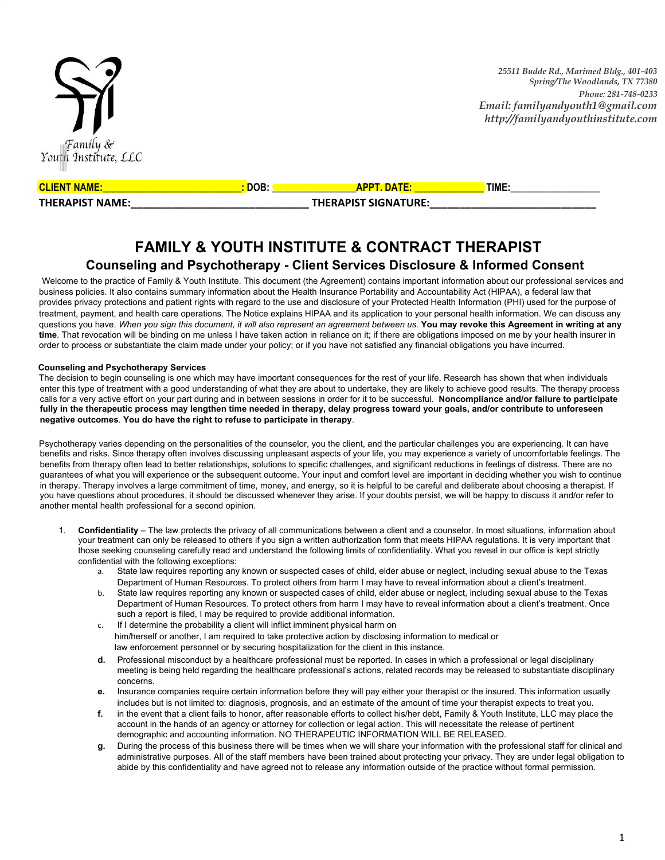

| <u>al IF</u><br>uL |  | <b>TIME</b> |
|--------------------|--|-------------|

**THERAPIST NAME:\_\_\_\_\_\_\_\_\_\_\_\_\_\_\_\_\_\_\_\_\_\_\_\_\_\_\_\_\_\_ THERAPIST SIGNATURE:\_\_\_\_\_\_\_\_\_\_\_\_\_\_\_\_\_\_\_\_\_\_\_\_\_\_\_\_**

# **FAMILY & YOUTH INSTITUTE & CONTRACT THERAPIST Counseling and Psychotherapy - Client Services Disclosure & Informed Consent**

Welcome to the practice of Family & Youth Institute. This document (the Agreement) contains important information about our professional services and business policies. It also contains summary information about the Health Insurance Portability and Accountability Act (HIPAA), a federal law that provides privacy protections and patient rights with regard to the use and disclosure of your Protected Health Information (PHI) used for the purpose of treatment, payment, and health care operations. The Notice explains HIPAA and its application to your personal health information. We can discuss any questions you have. When you sign this document, it will also represent an agreement between us. You may revoke this Agreement in writing at any **time***.* That revocation will be binding on me unless I have taken action in reliance on it; if there are obligations imposed on me by your health insurer in order to process or substantiate the claim made under your policy; or if you have not satisfied any financial obligations you have incurred.

#### **Counseling and Psychotherapy Services**

The decision to begin counseling is one which may have important consequences for the rest of your life. Research has shown that when individuals enter this type of treatment with a good understanding of what they are about to undertake, they are likely to achieve good results. The therapy process calls for a very active effort on your part during and in between sessions in order for it to be successful. **Noncompliance and/or failure to participate** fully in the therapeutic process may lengthen time needed in therapy, delay progress toward your goals, and/or contribute to unforeseen **negative outcomes**. **You do have the right to refuse to participate in therapy**.

Psychotherapy varies depending on the personalities of the counselor, you the client, and the particular challenges you are experiencing. It can have benefits and risks. Since therapy often involves discussing unpleasant aspects of your life, you may experience a variety of uncomfortable feelings. The benefits from therapy often lead to better relationships, solutions to specific challenges, and significant reductions in feelings of distress. There are no guarantees of what you will experience or the subsequent outcome. Your input and comfort level are important in deciding whether you wish to continue in therapy. Therapy involves a large commitment of time, money, and energy, so it is helpful to be careful and deliberate about choosing a therapist. If you have questions about procedures, it should be discussed whenever they arise. If your doubts persist, we will be happy to discuss it and/or refer to another mental health professional for a second opinion.

- 1. **Confidentiality** The law protects the privacy of all communications between a client and a counselor. In most situations, information about your treatment can only be released to others if you sign a written authorization form that meets HIPAA regulations. It is very important that those seeking counseling carefully read and understand the following limits of confidentiality. What you reveal in our office is kept strictly confidential with the following exceptions:
	- a. State law requires reporting any known or suspected cases of child, elder abuse or neglect, including sexual abuse to the Texas Department of Human Resources. To protect others from harm I may have to reveal information about a client's treatment.
	- b. State law requires reporting any known or suspected cases of child, elder abuse or neglect, including sexual abuse to the Texas Department of Human Resources. To protect others from harm I may have to reveal information about a client's treatment. Once such a report is filed, I may be required to provide additional information.
	- c. If I determine the probability a client will inflict imminent physical harm on him/herself or another, I am required to take protective action by disclosing information to medical or law enforcement personnel or by securing hospitalization for the client in this instance.
	- **d.** Professional misconduct by a healthcare professional must be reported. In cases in which a professional or legal disciplinary meeting is being held regarding the healthcare professional's actions, related records may be released to substantiate disciplinary concerns.
	- **e.** Insurance companies require certain information before they will pay either your therapist or the insured. This information usually includes but is not limited to: diagnosis, prognosis, and an estimate of the amount of time your therapist expects to treat you.
	- **f.** in the event that a client fails to honor, after reasonable efforts to collect his/her debt, Family & Youth Institute, LLC may place the account in the hands of an agency or attorney for collection or legal action. This will necessitate the release of pertinent demographic and accounting information. NO THERAPEUTIC INFORMATION WILL BE RELEASED.
	- **g.** During the process of this business there will be times when we will share your information with the professional staff for clinical and administrative purposes. All of the staff members have been trained about protecting your privacy. They are under legal obligation to abide by this confidentiality and have agreed not to release any information outside of the practice without formal permission.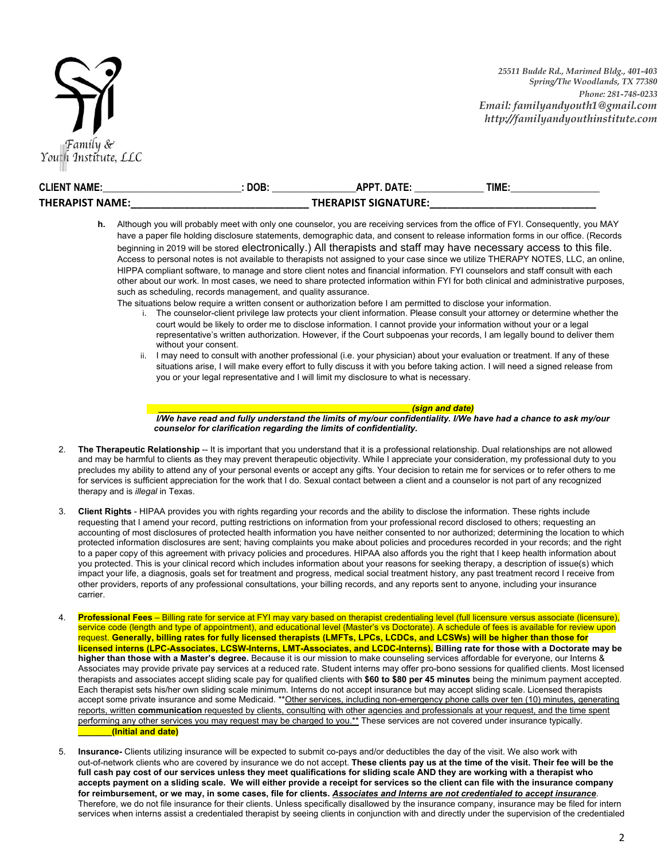

| <b>CLIENT NAME:</b> | DOB. | <b>DATF</b><br><b>ADDT</b>  | TIME. |
|---------------------|------|-----------------------------|-------|
| THERAPIST NAME:     |      | <b>THERAPIST SIGNATURE:</b> |       |

- **h.** Although you will probably meet with only one counselor, you are receiving services from the office of FYI. Consequently, you MAY have a paper file holding disclosure statements, demographic data, and consent to release information forms in our office. (Records beginning in 2019 will be stored electronically.) All therapists and staff may have necessary access to this file. Access to personal notes is not available to therapists not assigned to your case since we utilize THERAPY NOTES, LLC, an online, HIPPA compliant software, to manage and store client notes and financial information. FYI counselors and staff consult with each other about our work. In most cases, we need to share protected information within FYI for both clinical and administrative purposes, such as scheduling, records management, and quality assurance.
	- The situations below require a written consent or authorization before I am permitted to disclose your information.
		- i. The counselor-client privilege law protects your client information. Please consult your attorney or determine whether the court would be likely to order me to disclose information. I cannot provide your information without your or a legal representative's written authorization. However, if the Court subpoenas your records, I am legally bound to deliver them without your consent.
		- ii. I may need to consult with another professional (i.e. your physician) about your evaluation or treatment. If any of these situations arise, I will make every effort to fully discuss it with you before taking action. I will need a signed release from you or your legal representative and I will limit my disclosure to what is necessary.

#### **\_\_\_\_\_\_\_\_\_\_\_\_\_\_\_\_\_\_\_\_\_\_\_\_\_\_\_\_\_\_\_\_\_\_\_\_\_\_\_\_\_\_\_\_\_\_\_\_\_\_\_\_** *(sign and date)*

I/We have read and fully understand the limits of my/our confidentiality. I/We have had a chance to ask my/our *counselor for clarification regarding the limits of confidentiality.*

- 2. **The Therapeutic Relationship** -- It is important that you understand that it is a professional relationship. Dual relationships are not allowed and may be harmful to clients as they may prevent therapeutic objectivity. While I appreciate your consideration, my professional duty to you precludes my ability to attend any of your personal events or accept any gifts. Your decision to retain me for services or to refer others to me for services is sufficient appreciation for the work that I do. Sexual contact between a client and a counselor is not part of any recognized therapy and is *illegal* in Texas.
- 3. **Client Rights** HIPAA provides you with rights regarding your records and the ability to disclose the information. These rights include requesting that I amend your record, putting restrictions on information from your professional record disclosed to others; requesting an accounting of most disclosures of protected health information you have neither consented to nor authorized; determining the location to which protected information disclosures are sent; having complaints you make about policies and procedures recorded in your records; and the right to a paper copy of this agreement with privacy policies and procedures. HIPAA also affords you the right that I keep health information about you protected. This is your clinical record which includes information about your reasons for seeking therapy, a description of issue(s) which impact your life, a diagnosis, goals set for treatment and progress, medical social treatment history, any past treatment record I receive from other providers, reports of any professional consultations, your billing records, and any reports sent to anyone, including your insurance carrier.
- 4. **Professional Fees** Billing rate for service at FYI may vary based on therapist credentialing level (full licensure versus associate (licensure), service code (length and type of appointment), and educational level (Master's vs Doctorate). A schedule of fees is available for review upon request. Generally, billing rates for fully licensed therapists (LMFTs, LPCs, LCDCs, and LCSWs) will be higher than those for licensed interns (LPC-Associates, LCSW-Interns, LMT-Associates, and LCDC-Interns). Billing rate for those with a Doctorate may be **higher than those with a Master's degree.** Because it is our mission to make counseling services affordable for everyone, our Interns & Associates may provide private pay services at a reduced rate. Student interns may offer pro-bono sessions for qualified clients. Most licensed therapists and associates accept sliding scale pay for qualified clients with **\$60 to \$80 per 45 minutes** being the minimum payment accepted. Each therapist sets his/her own sliding scale minimum. Interns do not accept insurance but may accept sliding scale. Licensed therapists accept some private insurance and some Medicaid. \*\* Other services, including non-emergency phone calls over ten (10) minutes, generating reports, written **communication** requested by clients, consulting with other agencies and professionals at your request, and the time spent performing any other services you may request may be charged to you.\*\* These services are not covered under insurance typically. **\_\_\_\_\_\_\_(Initial and date)**
- 5. **Insurance-** Clients utilizing insurance will be expected to submit co-pays and/or deductibles the day of the visit. We also work with out-of-network clients who are covered by insurance we do not accept. These clients pay us at the time of the visit. Their fee will be the full cash pay cost of our services unless they meet qualifications for sliding scale AND they are working with a therapist who accepts payment on a sliding scale. We will either provide a receipt for services so the client can file with the insurance company for reimbursement, or we may, in some cases, file for clients. Associates and Interns are not credentialed to accept insurance. Therefore, we do not file insurance for their clients. Unless specifically disallowed by the insurance company, insurance may be filed for intern services when interns assist a credentialed therapist by seeing clients in conjunction with and directly under the supervision of the credentialed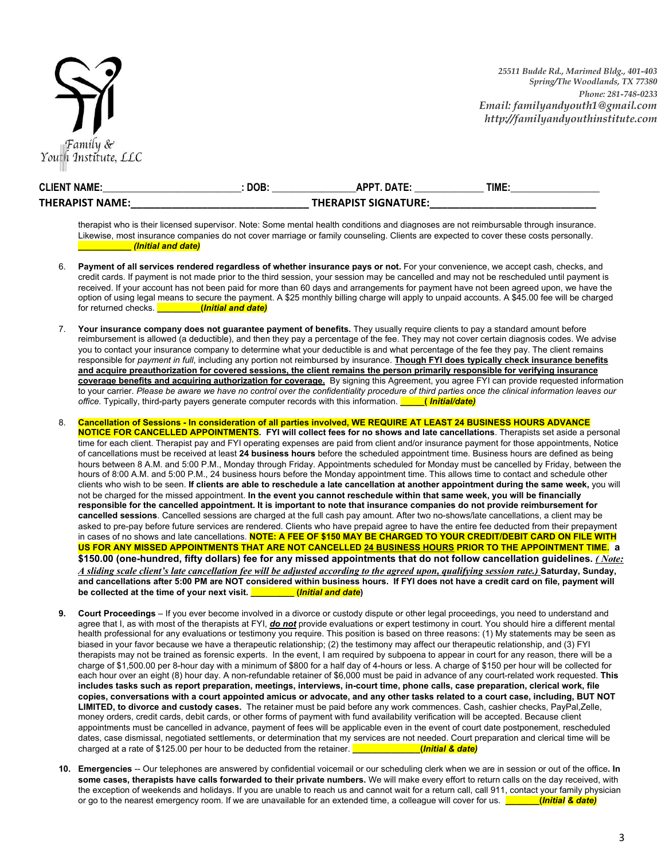

| <b>CLIENT NAME:</b> | DOB: | <b>APPT. DATE:</b>          | TIME: |
|---------------------|------|-----------------------------|-------|
| THERAPIST NAME:     |      | <b>THERAPIST SIGNATURE:</b> |       |

therapist who is their licensed supervisor. Note: Some mental health conditions and diagnoses are not reimbursable through insurance. Likewise, most insurance companies do not cover marriage or family counseling. Clients are expected to cover these costs personally. **\_\_\_\_\_\_\_\_\_\_\_** *(Initial and date)*

- 6. **Payment of all services rendered regardless of whether insurance pays or not.** For your convenience, we accept cash, checks, and credit cards. If payment is not made prior to the third session, your session may be cancelled and may not be rescheduled until payment is received. If your account has not been paid for more than 60 days and arrangements for payment have not been agreed upon, we have the option of using legal means to secure the payment. A \$25 monthly billing charge will apply to unpaid accounts. A \$45.00 fee will be charged for returned checks. **\_\_\_\_\_\_\_\_\_(***Initial and date)*
- 7. **Your insurance company does not guarantee payment of benefits.** They usually require clients to pay a standard amount before reimbursement is allowed (a deductible), and then they pay a percentage of the fee. They may not cover certain diagnosis codes. We advise you to contact your insurance company to determine what your deductible is and what percentage of the fee they pay. The client remains responsible for *payment in full*, including any portion not reimbursed by insurance. **Though FYI does typically check insurance benefits** and acquire preauthorization for covered sessions, the client remains the person primarily responsible for verifying insurance **coverage benefits and acquiring authorization for coverage.** By signing this Agreement, you agree FYI can provide requested information to your carrier. Please be aware we have no control over the confidentiality procedure of third parties once the clinical information leaves our *office.* Typically, third-party payers generate computer records with this information. **\_\_\_\_\_(** *Initial/date)*
- 8. Cancellation of Sessions In consideration of all parties involved, WE REQUIRE AT LEAST 24 BUSINESS HOURS ADVANCE **NOTICE FOR CANCELLED APPOINTMENTS. FYI will collect fees for no shows and late cancellations**. Therapists set aside a personal time for each client. Therapist pay and FYI operating expenses are paid from client and/or insurance payment for those appointments, Notice of cancellations must be received at least **24 business hours** before the scheduled appointment time. Business hours are defined as being hours between 8 A.M. and 5:00 P.M., Monday through Friday. Appointments scheduled for Monday must be cancelled by Friday, between the hours of 8:00 A.M. and 5:00 P.M., 24 business hours before the Monday appointment time. This allows time to contact and schedule other clients who wish to be seen. If clients are able to reschedule a late cancellation at another appointment during the same week, you will not be charged for the missed appointment. **In the event you cannot reschedule within that same week, you will be financially** responsible for the cancelled appointment. It is important to note that insurance companies do not provide reimbursement for **cancelled sessions**. Cancelled sessions are charged at the full cash pay amount. After two no-shows/late cancellations, a client may be asked to pre-pay before future services are rendered. Clients who have prepaid agree to have the entire fee deducted from their prepayment in cases of no shows and late cancellations. **NOTE: A FEE OF \$150 MAY BE CHARGED TO YOUR CREDIT/DEBIT CARD ON FILE WITH** US FOR ANY MISSED APPOINTMENTS THAT ARE NOT CANCELLED 24 BUSINESS HOURS PRIOR TO THE APPOINTMENT TIME. a **\$150.00 (one-hundred, fifty dollars) fee for any missed appointments that do not follow cancellation guidelines.** *( Note: A sliding scale client's late cancellation fee will be adjusted according to the agreed upon, qualifying session rate.)* **Saturday, Sunday,** and cancellations after 5:00 PM are NOT considered within business hours. If FYI does not have a credit card on file, payment will **be collected at the time of your next visit. \_\_\_\_\_\_\_\_\_ (***Initial and date***)**
- **9. Court Proceedings** If you ever become involved in a divorce or custody dispute or other legal proceedings, you need to understand and agree that I, as with most of the therapists at FYI, *do not* provide evaluations or expert testimony in court. You should hire a different mental health professional for any evaluations or testimony you require. This position is based on three reasons: (1) My statements may be seen as biased in your favor because we have a therapeutic relationship; (2) the testimony may affect our therapeutic relationship, and (3) FYI therapists may not be trained as forensic experts. In the event, I am required by subpoena to appear in court for any reason, there will be a charge of \$1,500.00 per 8-hour day with a minimum of \$800 for a half day of 4-hours or less. A charge of \$150 per hour will be collected for each hour over an eight (8) hour day. A non-refundable retainer of \$6,000 must be paid in advance of any court-related work requested. **This** includes tasks such as report preparation, meetings, interviews, in-court time, phone calls, case preparation, clerical work, file copies, conversations with a court appointed amicus or advocate, and any other tasks related to a court case, including, BUT NOT **LIMITED, to divorce and custody cases.** The retainer must be paid before any work commences. Cash, cashier checks, PayPal,Zelle, money orders, credit cards, debit cards, or other forms of payment with fund availability verification will be accepted. Because client appointments must be cancelled in advance, payment of fees will be applicable even in the event of court date postponement, rescheduled dates, case dismissal, negotiated settlements, or determination that my services are not needed. Court preparation and clerical time will be charged at a rate of \$125.00 per hour to be deducted from the retainer. **\_\_\_\_\_\_\_\_\_\_\_\_\_\_(***Initial & date)*
- **10. Emergencies** -- Our telephones are answered by confidential voicemail or our scheduling clerk when we are in session or out of the office**. In some cases, therapists have calls forwarded to their private numbers.** We will make every effort to return calls on the day received, with the exception of weekends and holidays. If you are unable to reach us and cannot wait for a return call, call 911, contact your family physician or go to the nearest emergency room. If we are unavailable for an extended time, a colleague will cover for us. **\_\_\_\_\_\_\_(***Initial & date)*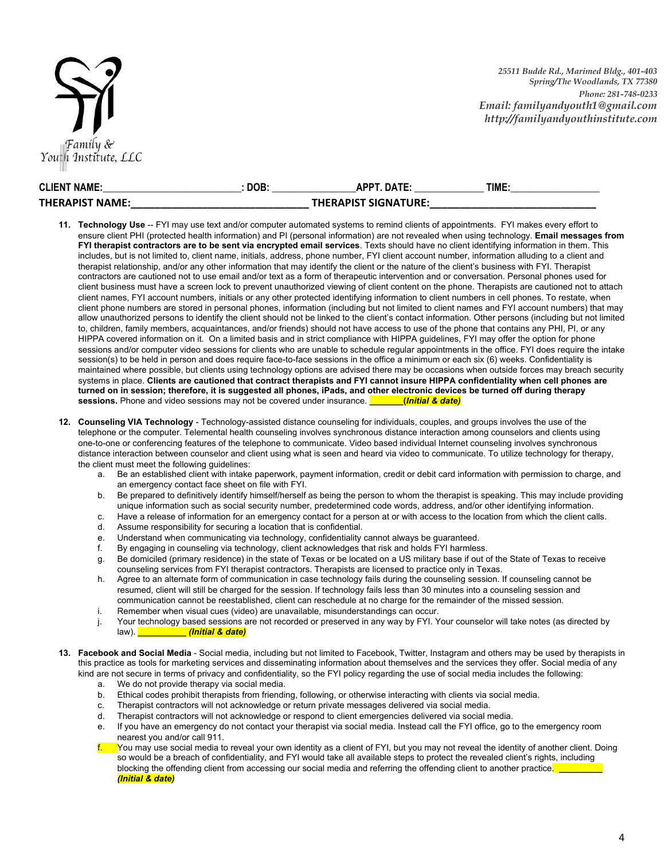

| <b>CLIENT NAME:</b> | DOB: | <b>APPT. DATE:</b>          | TIME |  |
|---------------------|------|-----------------------------|------|--|
| THERAPIST NAME:     |      | <b>THERAPIST SIGNATURE:</b> |      |  |

- **11. Technology Use** -- FYI may use text and/or computer automated systems to remind clients of appointments. FYI makes every effort to ensure client PHI (protected health information) and PI (personal information) are not revealed when using technology. **Email messages from FYI therapist contractors are to be sent via encrypted email services**. Texts should have no client identifying information in them. This includes, but is not limited to, client name, initials, address, phone number, FYI client account number, information alluding to a client and therapist relationship, and/or any other information that may identify the client or the nature of the client's business with FYI. Therapist contractors are cautioned not to use email and/or text as a form of therapeutic intervention and or conversation. Personal phones used for client business must have a screen lock to prevent unauthorized viewing of client content on the phone. Therapists are cautioned not to attach client names, FYI account numbers, initials or any other protected identifying information to client numbers in cell phones. To restate, when client phone numbers are stored in personal phones, information (including but not limited to client names and FYI account numbers) that may allow unauthorized persons to identify the client should not be linked to the client's contact information. Other persons (including but not limited to, children, family members, acquaintances, and/or friends) should not have access to use of the phone that contains any PHI, PI, or any HIPPA covered information on it. On a limited basis and in strict compliance with HIPPA guidelines, FYI may offer the option for phone sessions and/or computer video sessions for clients who are unable to schedule regular appointments in the office. FYI does require the intake session(s) to be held in person and does require face-to-face sessions in the office a minimum or each six (6) weeks. Confidentiality is maintained where possible, but clients using technology options are advised there may be occasions when outside forces may breach security systems in place. Clients are cautioned that contract therapists and FYI cannot insure HIPPA confidentiality when cell phones are turned on in session; therefore, it is suggested all phones, iPads, and other electronic devices be turned off during therapy **sessions.** Phone and video sessions may not be covered under insurance. **\_\_\_\_\_\_\_(***Initial & date)*
- **12. Counseling VIA Technology** Technology-assisted distance counseling for individuals, couples, and groups involves the use of the telephone or the computer. Telemental health counseling involves synchronous distance interaction among counselors and clients using one-to-one or conferencing features of the telephone to communicate. Video based individual Internet counseling involves synchronous distance interaction between counselor and client using what is seen and heard via video to communicate. To utilize technology for therapy, the client must meet the following guidelines:
	- a. Be an established client with intake paperwork, payment information, credit or debit card information with permission to charge, and an emergency contact face sheet on file with FYI.
	- b. Be prepared to definitively identify himself/herself as being the person to whom the therapist is speaking. This may include providing unique information such as social security number, predetermined code words, address, and/or other identifying information.
	- c. Have a release of information for an emergency contact for a person at or with access to the location from which the client calls.
	- d. Assume responsibility for securing a location that is confidential.
	- e. Understand when communicating via technology, confidentiality cannot always be guaranteed.
	- f. By engaging in counseling via technology, client acknowledges that risk and holds FYI harmless.
	- g. Be domiciled (primary residence) in the state of Texas or be located on a US military base if out of the State of Texas to receive counseling services from FYI therapist contractors. Therapists are licensed to practice only in Texas.
	- h. Agree to an alternate form of communication in case technology fails during the counseling session. If counseling cannot be resumed, client will still be charged for the session. If technology fails less than 30 minutes into a counseling session and communication cannot be reestablished, client can reschedule at no charge for the remainder of the missed session.
	- i. Remember when visual cues (video) are unavailable, misunderstandings can occur.
	- j. Your technology based sessions are not recorded or preserved in any way by FYI. Your counselor will take notes (as directed by law). **\_\_\_\_\_\_\_\_\_\_** *(Initial & date)*
- **13. Facebook and Social Media** Social media, including but not limited to Facebook, Twitter, Instagram and others may be used by therapists in this practice as tools for marketing services and disseminating information about themselves and the services they offer. Social media of any kind are not secure in terms of privacy and confidentiality, so the FYI policy regarding the use of social media includes the following:
	- a. We do not provide therapy via social media.
	- Ethical codes prohibit therapists from friending, following, or otherwise interacting with clients via social media.
	- c. Therapist contractors will not acknowledge or return private messages delivered via social media.
	- d. Therapist contractors will not acknowledge or respond to client emergencies delivered via social media.
	- e. If you have an emergency do not contact your therapist via social media. Instead call the FYI office, go to the emergency room nearest you and/or call 911.
	- $f.$  You may use social media to reveal your own identity as a client of FYI, but you may not reveal the identity of another client. Doing so would be a breach of confidentiality, and FYI would take all available steps to protect the revealed client's rights, including blocking the offending client from accessing our social media and referring the offending client to another practice. *(Initial & date)*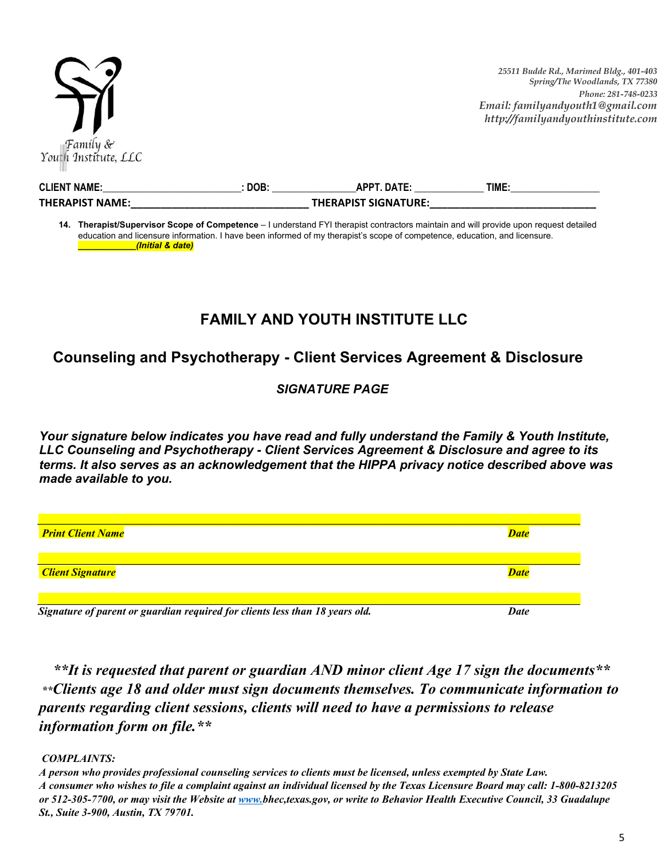

*25511 Budde Rd., Marimed Bldg., 401-403 Spring/The Woodlands, TX 77380 Phone: 281-748-0233 Email: familyandyouth1@gmail.com http:/ familyandyouthinstitute.com*

| <b>CLIENT NAME:</b>    | <b>DOB</b> | <b>DATF</b><br><b>ADDT</b>  | TIME |
|------------------------|------------|-----------------------------|------|
| <b>THERAPIST NAME:</b> |            | <b>THERAPIST SIGNATURE:</b> |      |

**14. Therapist/Supervisor Scope of Competence** – I understand FYI therapist contractors maintain and will provide upon request detailed education and licensure information. I have been informed of my therapist's scope of competence, education, and licensure. **\_\_\_\_\_\_\_\_\_\_\_***\_(Initial & date)*

# **FAMILY AND YOUTH INSTITUTE LLC**

# **Counseling and Psychotherapy - Client Services Agreement & Disclosure**

# *SIGNATURE PAGE*

*Your signature below indicates you have read and fully understand the Family & Youth Institute, LLC Counseling and Psychotherapy - Client Services Agreement & Disclosure and agree to its terms. It also serves as an acknowledgement that the HIPPA privacy notice described above was made available to you.*

| <b>Print Client Name</b>                                                    | <b>Date</b>                   |
|-----------------------------------------------------------------------------|-------------------------------|
|                                                                             |                               |
|                                                                             |                               |
| <b>Client Signature</b>                                                     | <b>Date</b>                   |
|                                                                             |                               |
|                                                                             |                               |
| Clay of the second on an undian popular of Constitute Log them 10 norms old | $\mathbf{D}$ and $\mathbf{D}$ |

*Signature of parent or guardian required for clients less than 18 years old. Date*

*\*\*It is requested that parent or guardian AND minor client Age 17 sign the documents\*\* \*\*Clients age 18 and older must sign documents themselves. To communicate information to parents regarding client sessions, clients will need to have a permissions to release information form on file.\*\**

## *COMPLAINTS:*

A person who provides professional counseling services to clients must be licensed, unless exempted by State Law. A consumer who wishes to file a complaint against an individual licensed by the Texas Licensure Board may call: 1-800-8213205 or 512-305-7700, or may visit the Website at [www.](http://www.dshs.state.tx.us/counselor)bhec.texas.gov, or write to Behavior Health Executive Council, 33 Guadalupe *St., Suite 3-900, Austin, TX 79701.*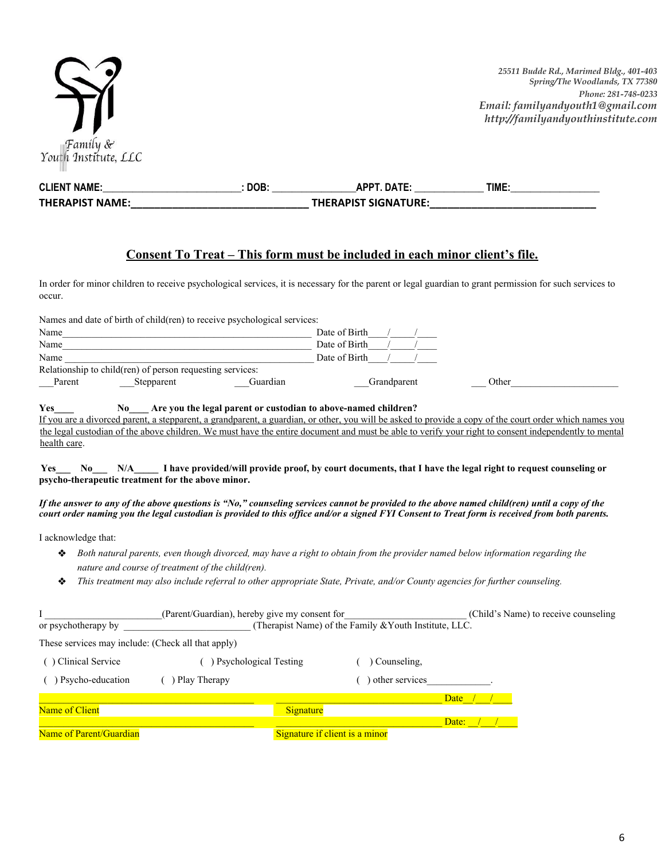

| <b>CLIENT NAME:</b>    | DOB: | APPT NATF                   | TIME. |
|------------------------|------|-----------------------------|-------|
| <b>THERAPIST NAME:</b> |      | <b>THERAPIST SIGNATURE:</b> |       |

# **Consent To Treat – This form must be included in each minor client's file.**

In order for minor children to receive psychological services, it is necessary for the parent or legal guardian to grant permission for such services to occur.

| Names and date of birth of child(ren) to receive psychological services:                                                       |                                                                                                                                                                                                                                                                                                                 |
|--------------------------------------------------------------------------------------------------------------------------------|-----------------------------------------------------------------------------------------------------------------------------------------------------------------------------------------------------------------------------------------------------------------------------------------------------------------|
| Date of Birth<br>Name                                                                                                          |                                                                                                                                                                                                                                                                                                                 |
| Date of Birth<br>Name                                                                                                          |                                                                                                                                                                                                                                                                                                                 |
| Name<br><u> 1980 - Jan James James Barnett, fransk politik (d. 1980)</u>                                                       | Date of Birth                                                                                                                                                                                                                                                                                                   |
| Relationship to child(ren) of person requesting services:                                                                      |                                                                                                                                                                                                                                                                                                                 |
| Parent<br>Stepparent<br>Guardian                                                                                               | Grandparent<br>Other                                                                                                                                                                                                                                                                                            |
| No Are you the legal parent or custodian to above-named children?<br>Yes<br>health care.                                       | If you are a divorced parent, a stepparent, a grandparent, a guardian, or other, you will be asked to provide a copy of the court order which names you<br>the legal custodian of the above children. We must have the entire document and must be able to verify your right to consent independently to mental |
| Yes<br>psycho-therapeutic treatment for the above minor.                                                                       | No N/A I have provided/will provide proof, by court documents, that I have the legal right to request counseling or                                                                                                                                                                                             |
|                                                                                                                                | If the answer to any of the above questions is "No," counseling services cannot be provided to the above named child(ren) until a copy of the<br>court order naming you the legal custodian is provided to this office and/or a signed FYI Consent to Treat form is received from both parents.                 |
| I acknowledge that:<br>❖<br>nature and course of treatment of the child(ren).<br>❖                                             | Both natural parents, even though divorced, may have a right to obtain from the provider named below information regarding the<br>This treatment may also include referral to other appropriate State, Private, and/or County agencies for further counseling.                                                  |
| (Parent/Guardian), hereby give my consent for<br>(Therapist Name) of the Family & Youth Institute, LLC.<br>or psychotherapy by | (Child's Name) to receive counseling                                                                                                                                                                                                                                                                            |
| These services may include: (Check all that apply)                                                                             |                                                                                                                                                                                                                                                                                                                 |
| () Clinical Service<br>( ) Psychological Testing                                                                               | Counseling,                                                                                                                                                                                                                                                                                                     |
| ( ) Play Therapy<br>$( )$ Psycho-education                                                                                     | $($ ) other services                                                                                                                                                                                                                                                                                            |
|                                                                                                                                | Date $/$                                                                                                                                                                                                                                                                                                        |
| Name of Client<br>Signature                                                                                                    |                                                                                                                                                                                                                                                                                                                 |
| Name of Parent/Guardian                                                                                                        | Date:<br>Signature if client is a minor                                                                                                                                                                                                                                                                         |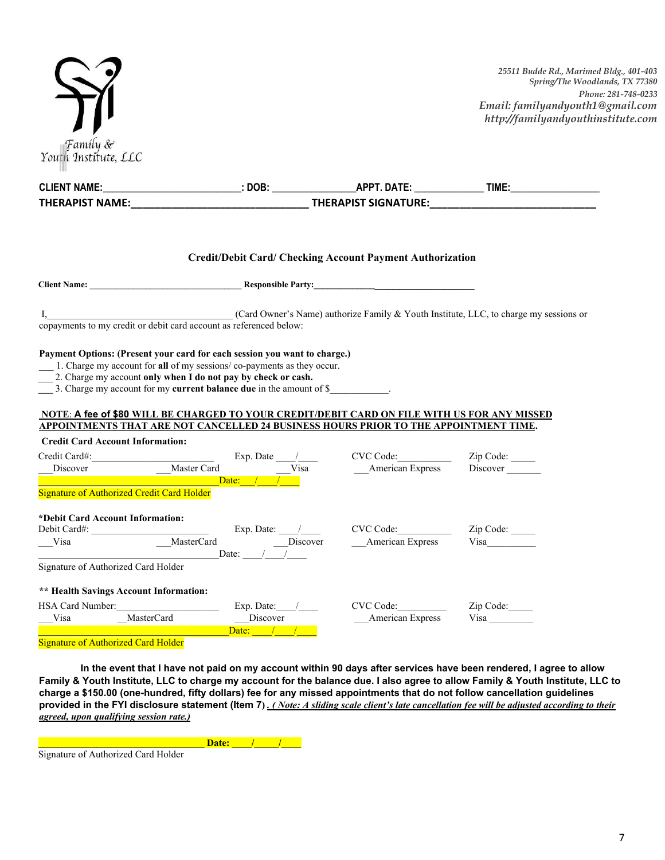

| <b>CLIENT NAME:</b>    | DOB: | <b>APPT. DATE:</b>          | TIME: |
|------------------------|------|-----------------------------|-------|
| <b>THERAPIST NAME:</b> |      | <b>THERAPIST SIGNATURE:</b> |       |
|                        |      |                             |       |

#### **Credit/Debit Card/ Checking Account Payment Authorization**

| <b>Client Name:</b> | <b>Responsible Party:</b>                                                             |
|---------------------|---------------------------------------------------------------------------------------|
|                     | (Card Owner's Name) authorize Family & Youth Institute, LLC, to charge my sessions or |
|                     | copayments to my credit or debit card account as referenced below:                    |

#### **Payment Options: (Present your card for each session you want to charge.)**

**\_\_\_** 1. Charge my account for **all** of my sessions/ co-payments as they occur.

\_\_\_ 2. Charge my account **only when I do not pay by check or cash.**

**\_\_\_** 3. Charge my account for my **current balance due** in the amount of \$\_\_\_\_\_\_\_\_\_\_\_\_.

### **NOTE**: **A fee of \$80 WILL BE CHARGED TO YOUR CREDIT/DEBIT CARD ON FILE WITH US FOR ANY MISSED APPOINTMENTS THAT ARE NOT CANCELLED 24 BUSINESS HOURS PRIOR TO THE APPOINTMENT TIME.**

|                         | <b>Credit Card Account Information:</b>           |                          |                  |           |
|-------------------------|---------------------------------------------------|--------------------------|------------------|-----------|
| Credit Card#:           |                                                   | Exp. Date $\frac{1}{2}$  | CVC Code:        | Zip Code: |
| Discover                | Master Card                                       | Visa                     | American Express | Discover  |
|                         |                                                   | Date:                    |                  |           |
|                         | <b>Signature of Authorized Credit Card Holder</b> |                          |                  |           |
|                         | *Debit Card Account Information:                  |                          |                  |           |
| Debit Card#:            |                                                   | Exp. Date: $\frac{1}{2}$ | CVC Code:        | Zip Code: |
| Visa                    | MasterCard                                        | Discover                 | American Express | Visa      |
|                         |                                                   | Date:                    |                  |           |
|                         | Signature of Authorized Card Holder               |                          |                  |           |
|                         | ** Health Savings Account Information:            |                          |                  |           |
| <b>HSA Card Number:</b> |                                                   | Exp. Date: $\frac{1}{2}$ | CVC Code:        | Zip Code: |
| Visa                    | <b>MasterCard</b>                                 | Discover                 | American Express | Visa      |
|                         |                                                   | Date: $\sqrt{ }$         |                  |           |
|                         |                                                   |                          |                  |           |

Signature of Authorized Card Holder

**In the event that I have not paid on my account within 90 days after services have been rendered, I agree to allow Family & Youth Institute, LLC to charge my account for the balance due. I also agree to allow Family & Youth Institute, LLC to charge a \$150.00 (one-hundred, fifty dollars) fee for any missed appointments that do not follow cancellation guidelines provided in the FYI disclosure statement (Item 7)** *. ( Note: A sliding scale client's late cancellation fee will be adjusted according to their agreed, upon qualifying session rate.)*

**Date:** / / / Signature of Authorized Card Holder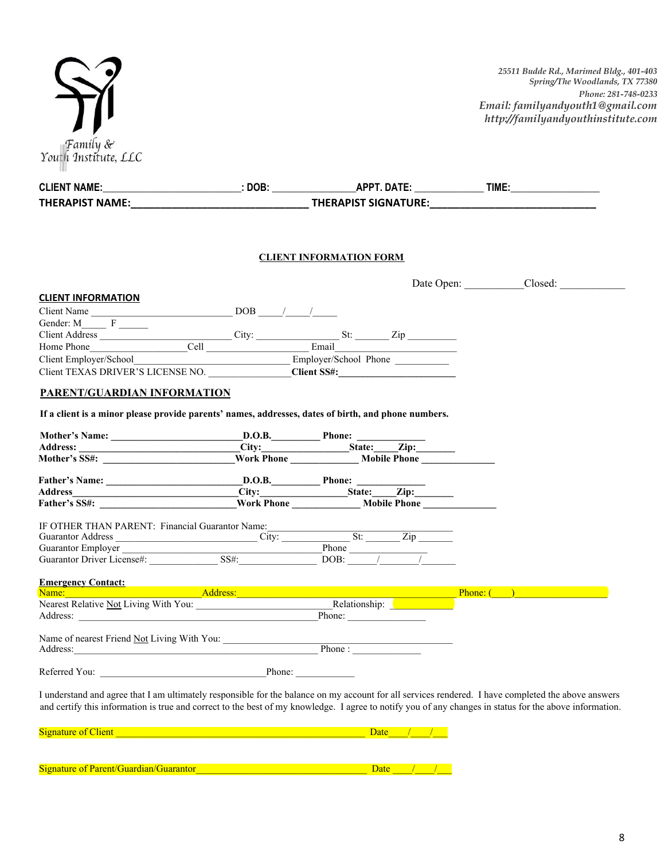|  |  | Family &<br>Youth Institute, LLC |  |
|--|--|----------------------------------|--|
|  |  |                                  |  |

| CLIENT NAME:____________________________: DOB: ___________________APPT. DATE: ________________TIME:___________                                                                                                                   |                                |                    |
|----------------------------------------------------------------------------------------------------------------------------------------------------------------------------------------------------------------------------------|--------------------------------|--------------------|
|                                                                                                                                                                                                                                  |                                |                    |
|                                                                                                                                                                                                                                  |                                |                    |
|                                                                                                                                                                                                                                  |                                |                    |
|                                                                                                                                                                                                                                  | <b>CLIENT INFORMATION FORM</b> |                    |
|                                                                                                                                                                                                                                  |                                | Date Open: Closed: |
| <b>CLIENT INFORMATION</b>                                                                                                                                                                                                        |                                |                    |
| Client Name $\frac{1}{\sqrt{1-\frac{1}{2}}}\sqrt{1-\frac{1}{2}}$                                                                                                                                                                 |                                |                    |
| Gender: $M$ $F$ $\overline{F}$                                                                                                                                                                                                   |                                |                    |
| City: Client Address F<br>Client Address Client Employer/School Client Employer/School Phone Client Employer/School Client Employer/School Phone Client Employer/School Phone C                                                  |                                |                    |
|                                                                                                                                                                                                                                  |                                |                    |
| Client TEXAS DRIVER'S LICENSE NO. ____________Client SS#:________________________                                                                                                                                                |                                |                    |
| PARENT/GUARDIAN INFORMATION                                                                                                                                                                                                      |                                |                    |
| If a client is a minor please provide parents' names, addresses, dates of birth, and phone numbers.                                                                                                                              |                                |                    |
|                                                                                                                                                                                                                                  |                                |                    |
|                                                                                                                                                                                                                                  |                                |                    |
|                                                                                                                                                                                                                                  |                                |                    |
|                                                                                                                                                                                                                                  |                                |                    |
|                                                                                                                                                                                                                                  |                                |                    |
|                                                                                                                                                                                                                                  |                                |                    |
| IF OTHER THAN PARENT: Financial Guarantor Name:<br>Guarantor Address City: City: City: City: City: City: City: City: City: City: City: City: City: City: City: City: City: City: City: City: City: City: City: City: City: City: |                                |                    |
|                                                                                                                                                                                                                                  |                                |                    |
| Guarantor Employer<br>Guarantor Driver License#: SS#: SS#: DOB: /////                                                                                                                                                            |                                |                    |
|                                                                                                                                                                                                                                  |                                |                    |
| Emergency Contact:<br>Name: Name: Name: Phone: (1)                                                                                                                                                                               |                                |                    |
| Nearest Relative Not Living With You: Relationship: Relationship: 2012                                                                                                                                                           |                                |                    |
|                                                                                                                                                                                                                                  | $\overline{\text{Phone}}$ :    |                    |
|                                                                                                                                                                                                                                  |                                |                    |
| Address: Phone : Phone :                                                                                                                                                                                                         |                                |                    |
| Referred You: Phone:                                                                                                                                                                                                             |                                |                    |
|                                                                                                                                                                                                                                  |                                |                    |
| I understand and agree that I am ultimately responsible for the balance on my account for all services rendered. I have completed the above answers                                                                              |                                |                    |
| and certify this information is true and correct to the best of my knowledge. I agree to notify you of any changes in status for the above information.                                                                          |                                |                    |

| <b>Signature of Client</b>                    | Dafe              |  |
|-----------------------------------------------|-------------------|--|
|                                               |                   |  |
|                                               |                   |  |
| <b>Signature of Parent/Guardian/Guarantor</b> | Dafe <sup>1</sup> |  |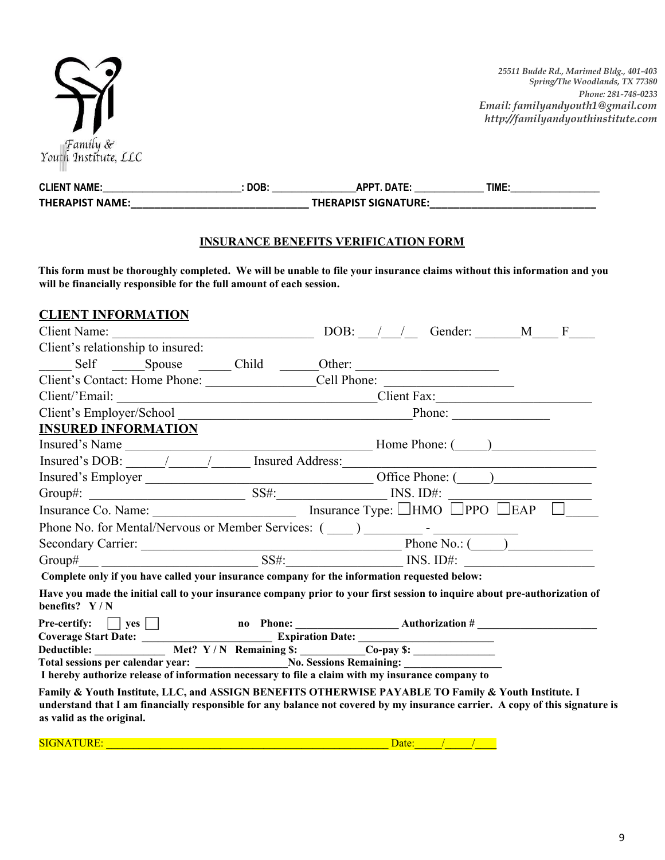

| <b>CLIENT NAME:</b>    | DOB: | <b>APPT. DATE</b>           | TIME. |
|------------------------|------|-----------------------------|-------|
| <b>THERAPIST NAME:</b> |      | <b>THERAPIST SIGNATURE:</b> |       |

## **INSURANCE BENEFITS VERIFICATION FORM**

This form must be thoroughly completed. We will be unable to file your insurance claims without this information and you **will be financially responsible for the full amount of each session.**

# **CLIENT INFORMATION**

|                                                                                                                                                                                                                                      |  | DOB: $\angle$ $\angle$ $\angle$ Gender: $\angle$ M F |  |
|--------------------------------------------------------------------------------------------------------------------------------------------------------------------------------------------------------------------------------------|--|------------------------------------------------------|--|
| Client's relationship to insured:                                                                                                                                                                                                    |  |                                                      |  |
|                                                                                                                                                                                                                                      |  |                                                      |  |
|                                                                                                                                                                                                                                      |  |                                                      |  |
| Client/'Email: Client Fax: Client Fax:                                                                                                                                                                                               |  |                                                      |  |
|                                                                                                                                                                                                                                      |  |                                                      |  |
| <b>INSURED INFORMATION</b>                                                                                                                                                                                                           |  |                                                      |  |
|                                                                                                                                                                                                                                      |  |                                                      |  |
|                                                                                                                                                                                                                                      |  |                                                      |  |
|                                                                                                                                                                                                                                      |  |                                                      |  |
|                                                                                                                                                                                                                                      |  |                                                      |  |
| Insurance Co. Name: Insurance Type: $\Box$ HMO $\Box$ PPO $\Box$ EAP $\Box$                                                                                                                                                          |  |                                                      |  |
| Phone No. for Mental/Nervous or Member Services: (___) __________________________                                                                                                                                                    |  |                                                      |  |
| Secondary Carrier: Phone No.: (D)                                                                                                                                                                                                    |  |                                                      |  |
|                                                                                                                                                                                                                                      |  |                                                      |  |
| Complete only if you have called your insurance company for the information requested below:                                                                                                                                         |  |                                                      |  |
| Have you made the initial call to your insurance company prior to your first session to inquire about pre-authorization of<br>benefits? Y/N                                                                                          |  |                                                      |  |
| Pre-certify: □ yes □ no Phone: <u>Authorization #</u><br>Coverage Start Date: <u>Expiration Date:</u>                                                                                                                                |  |                                                      |  |
|                                                                                                                                                                                                                                      |  |                                                      |  |
| Deductible: _____________ Met? Y/N Remaining \$: ___________Co-pay \$: ___________                                                                                                                                                   |  |                                                      |  |
| I hereby authorize release of information necessary to file a claim with my insurance company to                                                                                                                                     |  |                                                      |  |
|                                                                                                                                                                                                                                      |  |                                                      |  |
| Family & Youth Institute, LLC, and ASSIGN BENEFITS OTHERWISE PAYABLE TO Family & Youth Institute. I<br>understand that I am financially responsible for any balance not covered by my insurance carrier. A copy of this signature is |  |                                                      |  |
|                                                                                                                                                                                                                                      |  |                                                      |  |

**as valid as the original.**

 $SIGNATURE:$  Date:  $\frac{1}{2}$  Date:  $\frac{1}{2}$  Date:  $\frac{1}{2}$  Date:  $\frac{1}{2}$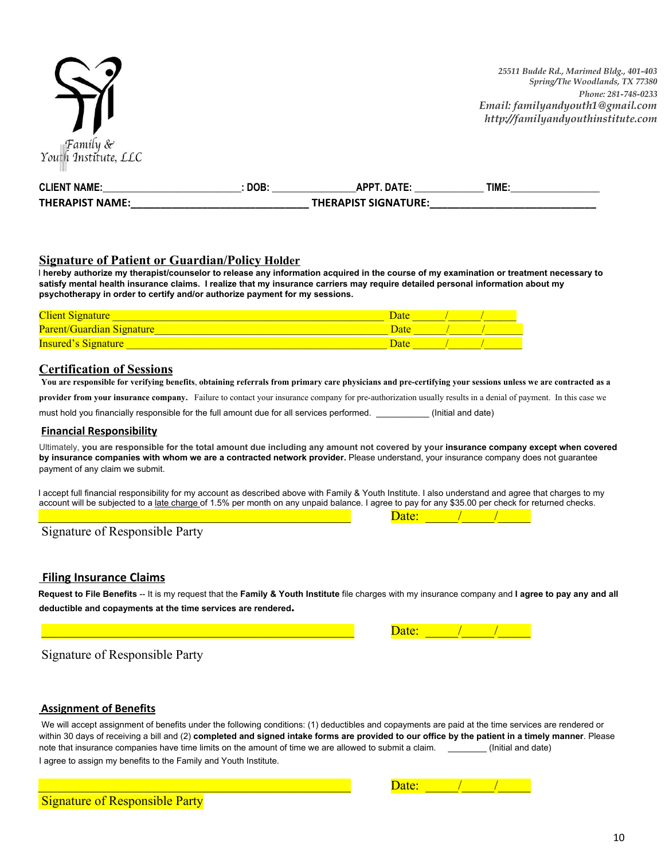

| <b>CLIENT NAME:</b>    | DOB: | DATE.<br><b>ADDT</b>        | TIME. |
|------------------------|------|-----------------------------|-------|
| <b>THERAPIST NAME:</b> |      | <b>THERAPIST SIGNATURE:</b> |       |

# **Signature of Patient or Guardian/Policy Holder**

I hereby authorize my therapist/counselor to release any information acquired in the course of my examination or treatment necessary to satisfy mental health insurance claims. I realize that my insurance carriers may require detailed personal information about my **psychotherapy in order to certify and/or authorize payment for my sessions.**

| <b>Client Signature</b>          |  |  |
|----------------------------------|--|--|
| <b>Parent/Guardian Signature</b> |  |  |
| <b>Insured's Signature</b>       |  |  |

## **Certification of Sessions**

You are responsible for verifying benefits, obtaining referrals from primary care physicians and pre-certifying your sessions unless we are contracted as a

**provider from your insurance company.** Failure to contact your insurance company for pre-authorization usually results in a denial of payment. In this case we

must hold you financially responsible for the full amount due for all services performed. \_\_\_\_\_\_\_\_\_\_\_ (Initial and date)

\_\_\_\_\_\_\_\_\_\_\_\_\_\_\_\_\_\_\_\_\_\_\_\_\_\_\_\_\_\_\_\_\_\_\_\_\_\_\_\_\_\_\_\_\_\_\_\_ Date: \_\_\_\_\_/\_\_\_\_\_/\_\_\_\_\_

#### **Financial Responsibility**

Ultimately, you are responsible for the total amount due including any amount not covered by your insurance company except when covered **by insurance companies with whom we are a contracted network provider.** Please understand, your insurance company does not guarantee payment of any claim we submit.

I accept full financial responsibility for my account as described above with Family & Youth Institute. I also understand and agree that charges to my account will be subjected to a late charge of 1.5% per month on any unpaid balance. I agree to pay for any \$35.00 per check for returned checks.

Signature of Responsible Party

### **Filing Insurance Claims**

Request to File Benefits -- It is my request that the Family & Youth Institute file charges with my insurance company and I agree to pay any and all **deductible and copayments at the time services are rendered.**

Signature of Responsible Party

#### **Assignment of Benefits**

We will accept assignment of benefits under the following conditions: (1) deductibles and copayments are paid at the time services are rendered or within 30 days of receiving a bill and (2) completed and signed intake forms are provided to our office by the patient in a timely manner. Please note that insurance companies have time limits on the amount of time we are allowed to submit a claim. \_\_\_\_\_\_\_\_ (Initial and date) I agree to assign my benefits to the Family and Youth Institute.

Signature of Responsible Party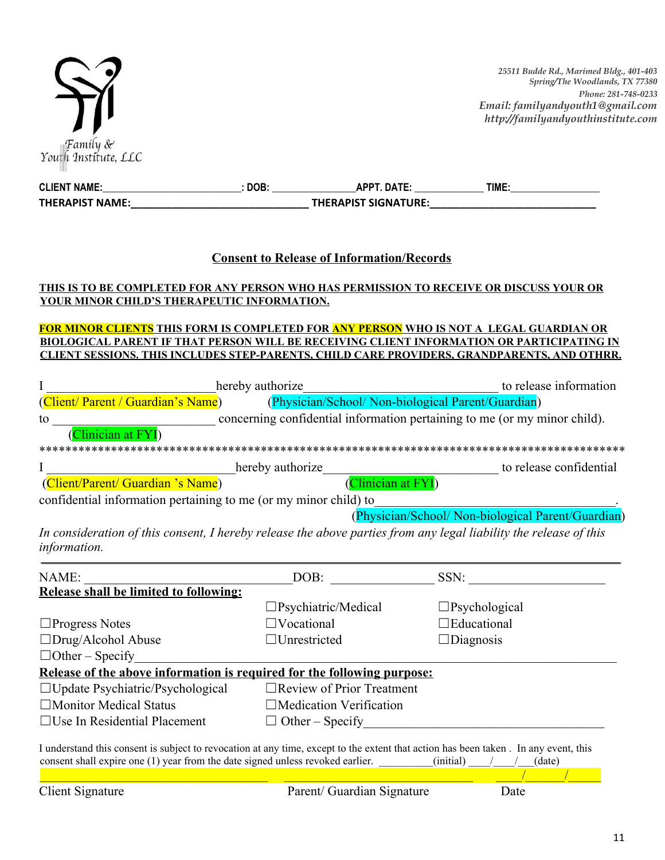

*25511 Budde Rd., Marimed Bldg., 401-403 Spring/The Woodlands, TX 77380 Phone: 281-748-0233 Email: familyandyouth1@gmail.com http:/ familyandyouthinstitute.com*

|                                                                                               |                                                                                | CLIENT NAME:___________________________: DOB: __________________APPT. DATE: ________________TIME:_____________                                                                             |
|-----------------------------------------------------------------------------------------------|--------------------------------------------------------------------------------|--------------------------------------------------------------------------------------------------------------------------------------------------------------------------------------------|
|                                                                                               |                                                                                |                                                                                                                                                                                            |
|                                                                                               | <b>Consent to Release of Information/Records</b>                               |                                                                                                                                                                                            |
|                                                                                               |                                                                                |                                                                                                                                                                                            |
| YOUR MINOR CHILD'S THERAPEUTIC INFORMATION.                                                   |                                                                                | THIS IS TO BE COMPLETED FOR ANY PERSON WHO HAS PERMISSION TO RECEIVE OR DISCUSS YOUR OR                                                                                                    |
|                                                                                               |                                                                                | FOR MINOR CLIENTS THIS FORM IS COMPLETED FOR ANY PERSON WHO IS NOT A LEGAL GUARDIAN OR<br><b>BIOLOGICAL PARENT IF THAT PERSON WILL BE RECEIVING CLIENT INFORMATION OR PARTICIPATING IN</b> |
|                                                                                               |                                                                                | <u>CLIENT SESSIONS. THIS INCLUDES STEP-PARENTS, CHILD CARE PROVIDERS, GRANDPARENTS, AND OTHRR.</u>                                                                                         |
|                                                                                               |                                                                                |                                                                                                                                                                                            |
|                                                                                               |                                                                                | I<br>hereby authorize<br>(Client/Parent / Guardian's Name) (Physician/School/Non-biological Parent/Guardian)                                                                               |
|                                                                                               |                                                                                |                                                                                                                                                                                            |
|                                                                                               |                                                                                | to <u>Clinician at FYI</u> concerning confidential information pertaining to me (or my minor child).                                                                                       |
|                                                                                               |                                                                                |                                                                                                                                                                                            |
|                                                                                               |                                                                                | I<br>lereby authorize<br>(Clinician at FYI) to release confidential<br>(Clinician at FYI)                                                                                                  |
|                                                                                               |                                                                                |                                                                                                                                                                                            |
| confidential information pertaining to me (or my minor child) to                              |                                                                                | (Physician/School/ Non-biological Parent/Guardian)                                                                                                                                         |
| information.                                                                                  |                                                                                | In consideration of this consent, I hereby release the above parties from any legal liability the release of this                                                                          |
|                                                                                               |                                                                                |                                                                                                                                                                                            |
|                                                                                               |                                                                                |                                                                                                                                                                                            |
|                                                                                               |                                                                                |                                                                                                                                                                                            |
|                                                                                               | $\Box$ Psychiatric/Medical $\Box$ Psychological                                |                                                                                                                                                                                            |
|                                                                                               | $\Box$ Vocational                                                              | $\Box$ Educational                                                                                                                                                                         |
|                                                                                               | $\Box$ Unrestricted                                                            | $\Box$ Diagnosis                                                                                                                                                                           |
|                                                                                               |                                                                                |                                                                                                                                                                                            |
| $\Box$ Other – Specify                                                                        | <u>Release of the above information is required for the following purpose:</u> |                                                                                                                                                                                            |
| $\Box$ Progress Notes<br>$\Box$ Drug/Alcohol Abuse<br>$\Box$ Update Psychiatric/Psychological | $\Box$ Review of Prior Treatment                                               |                                                                                                                                                                                            |
| $\Box$ Monitor Medical Status                                                                 | $\Box$ Medication Verification                                                 |                                                                                                                                                                                            |

consent shall expire one (1) year from the date signed unless revoked earlier. \_\_\_\_\_\_\_\_\_\_(initial) \_\_\_\_/\_\_\_\_/\_\_\_(date)

\_\_\_\_\_\_\_\_\_\_\_\_\_\_\_\_\_\_\_\_\_\_\_\_\_\_\_\_\_\_\_\_\_\_\_ \_\_\_\_\_\_\_\_\_\_\_\_\_\_\_\_\_\_\_\_\_\_\_\_\_\_\_\_\_ \_\_\_\_/\_\_\_\_\_\_/\_\_\_\_\_